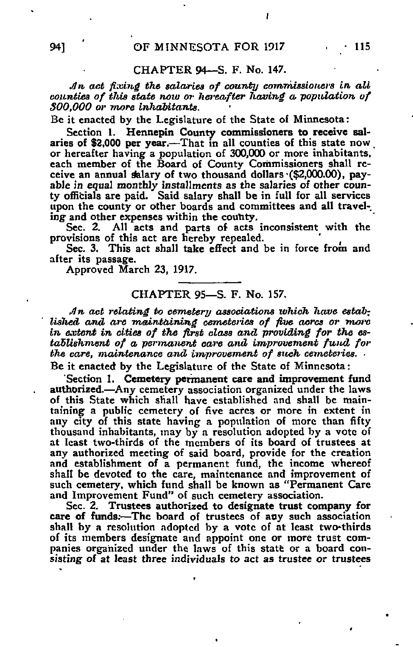## CHAPTER 94—S. F. No. 147.

An act fixing the salaries of county commissioners in all counties of this state now or hereafter having a population of 300,000 or tnore inhabitants.

Be it enacted by the Legislature of the State of Minnesota:

Section 1. Hennepin County commissioners to receive salaries of \$2,000 per year.—That in all counties of this state now or hereafter having a population of 300,000 or more inhabitants, each member of the Board of County Commissioners shall receive an annual salary of two thousand dollars (\$2,000.00), payable in equal monthly installments as the salaries of other county officials are paid. Said salary shall be in full for all services upon the county or other boards and committees and all traveling and other expenses within the county.

Sec. 2. All acts and parts of acts inconsistent with the provisions of this act are hereby repealed.

Sec. 3. This act shall take effect and be in force from and after its passage.

Approved March 23, 1917.

## CHAPTER 95—S. F. No. 157.

An act relating to cemetery associations which have established and are maintaining cemeteries of five acres or more in extent in cities of the first class and providing for the establishment of a permanent care and improvement fund for the care, maintenance and improvement of such cemeteries.

Be it enacted by the Legislature of the State of Minnesota:

'Section 1. Cemetery permanent care and improvement fund authorized.—Any cemetery association organized under the laws of this State which shall have established and shall be maintaining a public cemetery of five acres or more in extent in any city of this state having a population of more than fifty thousand inhabitants, may by a resolution adopted by a vote of at least two-thirds of the members of its board of trustees at any authorized meeting of said board, provide for the creation and establishment of a permanent fund, the income whereof shall be devoted to the care, maintenance and improvement of such cemetery, which fund shall be known as "Permanent Care and Improvement Fund" of such cemetery association.

Sec. 2. Trustees authorized to designate trust company for care of funds;—The board of trustees of any such association shall by a resolution adopted by a vote of at least two-thirds of its members designate and appoint one or more trust companies organized under the laws of this statt or a board consisting of at least three individuals to act as trustee or trustees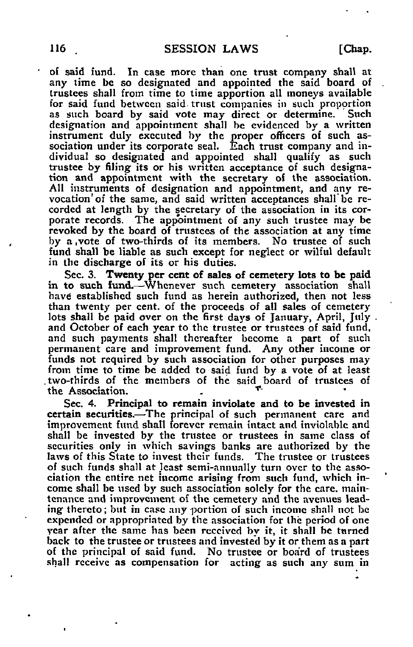of said fund. In case more than one trust company shall at any time be so designated and appointed the said board of trustees shall from time to time apportion all moneys available for said fund between said trust companies in such propprtion as such board by said vote may direct or determine. Such designation and appointment shall be evidenced by a written instrument duly executed by the proper officers of such association under its corporate seal. Each trust company and individual so designated and appointed shall qualify as such trustee by filing its or his written acceptance of such designation and appointment with the secretary of the association. All instruments of designation and appointment, and any revocation' of the same, and said written acceptances shall be recorded at length by the secretary of the association in its corporate records. The appointment of any such trustee may be revoked by the board of trustees of the association at any time by a ,vote of two-thirds of its members. No trustee of such fund shall be liable as such except for neglect or wilful default in the discharge of its or his duties.

Sec. 3. Twenty per cent of sales of cemetery lots to be paid in to such fund.—Whenever such cemetery association shall have established such fund as herein authorized, then not less than twenty per cent, of the proceeds of all sales of cemetery lots shall be paid over on the first days of January, April, July and October of each year to the trustee or trustees of said fund, and such payments shall thereafter become a part of such permanent care and improvement fund. Any other income or funds not required by such association for other purposes may from time to time be added to said fund by a vote of at least two-thirds of the members of the said board of trustees of the Association.

Sec. 4. Principal to remain inviolate and to be invested in certain securities.—The principal of such permanent care and improvement fund shall forever remain intact and inviolable and shall be invested by the trustee or trustees in same class of securities only in which savings banks are authorized by the laws of this Slate to invest their funds. The trustee or trustees of such funds shall at least semi-annually turn over to the association the entire net income arising from such fund, which income shall be used by such association solely for the care, maintenance and improvement of the cemetery and the avenues leading thereto; but in case any portion of such income shall not be expended or appropriated by the association for the period of one year after the same has been received by it, it shall be tnrned back to the trustee or trustees and invested by it or them as a part of the principal of said fund. No trustee or board of trustees shall receive as compensation for acting as such any sum in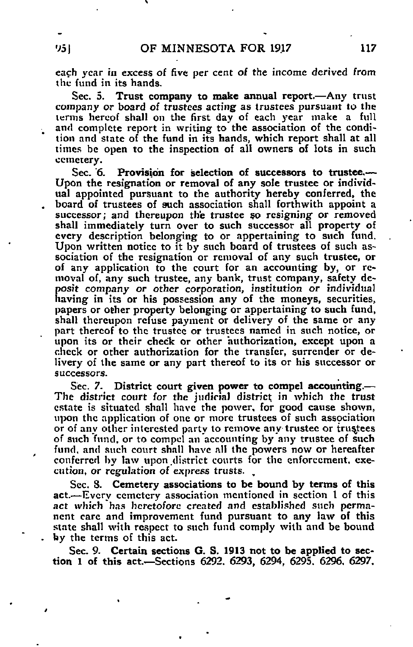each year in excess of five per cent of the income derived from the fund in its hands.

Sec. 5. Trust company to make annual report.—Any trust company or board of trustees acting as trustees pursuant to the terms hereof shall on the first day of each year make a full and complete report in writing to the association of the condition and state of the fund in its hands, which report shall at all times be open to the inspection of all owners of lots in such cemetery.

Sec. 6. Provision for selection of successors to trustee.— Upon the resignation or removal of any sole trustee or individual appointed pursuant to the authority hereby conferred, the board of trustees of such association shall forthwith appoint a successor; and thereupon the trustee so resigning or removed shall immediately turn over to such successor all property of every description belonging to or appertaining to such fund. Upon written notice to it by such board of trustees of such association of the resignation or removal of any such trustee, or of any application to the court for an accounting by, or removal of, any such trustee, any bank, trust company, safety deposit company or other corporation, institution or individual having in its or his possession any of the moneys, securities, papers or other property belonging or appertaining to such fund, shall thereupon refuse payment or delivery of the same or any part thereof to the trustee or trustees named in such notice, or upon its or their check or other authorization, except upon a check or other authorization for the transfer, surrender or delivery of the same or any part thereof to its or his successor or successors.

Sec. 7. District court given power to compel accounting.— The district court for the judicial district in which the trust estate is situated shall have the power, for good cause shown, upon the application of one or more trustees of such asspciation or of any other interested party to remove any trustee or trustees of such fund, or to compel an accounting by any trustee of such fund, and such court shall have all the powers now or hereafter conferred by law upon.district courts for the enforcement, execution, or regulation of express trusts. "

Sec. S. Cemetery associations to be bound by terms of this act.—Every cemetery association mentioned in section I of this act which has heretofore created and established such permanent care and improvement fund pursuant to any law of this state shall with respect to such fund comply with and be bound by the terms of this act.

Sec. 9. Certain sections G. S. 1913 not to be applied to section 1 of this act.—Sections 6292. 6293, 6294, 6295. 6296. 6297,